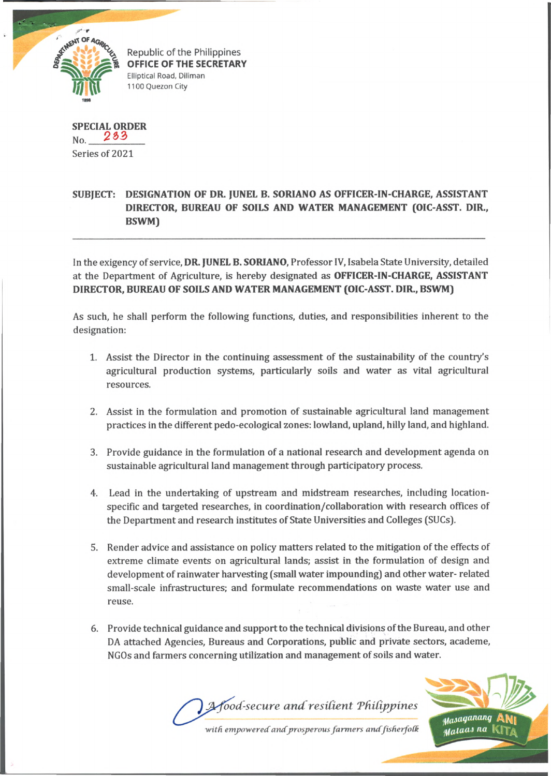

Republic of the Philippines OFFICE OF THE SECRETARY Elliptical Road, Diliman 1100 Quezon City

**SPECIAL ORDER**  $N_{\rm O}$  233 Series of 2021

## **SUBJECT: DESIGNATION OF DR. JUNEL B. SORIANO AS OFFICER-IN-CHARGE, ASSISTANT DIRECTOR, BUREAU OF SOILS AND WATER MANAGEMENT (OIC-ASST. DIR., BSWM)**

In the exigency of service, **DR. JUNEL B. SORIANO,** Professor IV, Isabela State University, detailed at the Department of Agriculture, is hereby designated as **OFFICER-IN-CHARGE, ASSISTANT DIRECTOR, BUREAU OF SOILS AND WATER MANAGEMENT (OIC-ASST. DIR., BSWM)**

As such, he shall perform the following functions, duties, and responsibilities inherent to the designation:

- 1. Assist the Director in the continuing assessment of the sustainability of the country's agricultural production systems, particularly soils and water as vital agricultural resources.
- 2. Assist in the formulation and promotion of sustainable agricultural land management practices in the different pedo-ecological zones: lowland, upland, hilly land, and highland.
- 3. Provide guidance in the formulation of a national research and development agenda on sustainable agricultural land management through participatory process.
- 4. Lead in the undertaking of upstream and midstream researches, including locationspecific and targeted researches, in coordination/collaboration with research offices of the Department and research institutes of State Universities and Colleges (SUCs).
- 5. Render advice and assistance on policy matters related to the mitigation of the effects of extreme climate events on agricultural lands; assist in the formulation of design and development of rainwater harvesting (small water impounding) and other water- related small-scale infrastructures; and formulate recommendations on waste water use and reuse.
- 6. Provide technical guidance and support to the technical divisions of the Bureau, and other DA attached Agencies, Bureaus and Corporations, public and private sectors, academe, NGOs and farmers concerning utilization and management of soils and water.

*vod-secure andresident 'Philippines* with empowered and prosperous farmers and fisherfolk